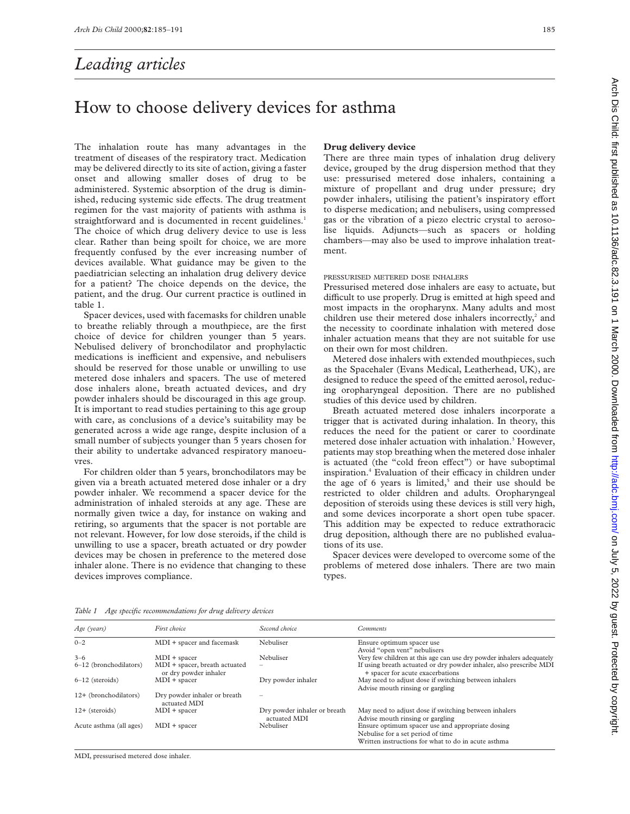# *Leading articles*

# How to choose delivery devices for asthma

The inhalation route has many advantages in the treatment of diseases of the respiratory tract. Medication may be delivered directly to its site of action, giving a faster onset and allowing smaller doses of drug to be administered. Systemic absorption of the drug is diminished, reducing systemic side effects. The drug treatment regimen for the vast majority of patients with asthma is straightforward and is documented in recent guidelines.<sup>1</sup> The choice of which drug delivery device to use is less clear. Rather than being spoilt for choice, we are more frequently confused by the ever increasing number of devices available. What guidance may be given to the paediatrician selecting an inhalation drug delivery device for a patient? The choice depends on the device, the patient, and the drug. Our current practice is outlined in table 1.

Spacer devices, used with facemasks for children unable to breathe reliably through a mouthpiece, are the first choice of device for children younger than 5 years. Nebulised delivery of bronchodilator and prophylactic medications is inefficient and expensive, and nebulisers should be reserved for those unable or unwilling to use metered dose inhalers and spacers. The use of metered dose inhalers alone, breath actuated devices, and dry powder inhalers should be discouraged in this age group. It is important to read studies pertaining to this age group with care, as conclusions of a device's suitability may be generated across a wide age range, despite inclusion of a small number of subjects younger than 5 years chosen for their ability to undertake advanced respiratory manoeuvres.

For children older than 5 years, bronchodilators may be given via a breath actuated metered dose inhaler or a dry powder inhaler. We recommend a spacer device for the administration of inhaled steroids at any age. These are normally given twice a day, for instance on waking and retiring, so arguments that the spacer is not portable are not relevant. However, for low dose steroids, if the child is unwilling to use a spacer, breath actuated or dry powder devices may be chosen in preference to the metered dose inhaler alone. There is no evidence that changing to these devices improves compliance.

### **Drug delivery device**

There are three main types of inhalation drug delivery device, grouped by the drug dispersion method that they use: pressurised metered dose inhalers, containing a mixture of propellant and drug under pressure; dry powder inhalers, utilising the patient's inspiratory effort to disperse medication; and nebulisers, using compressed gas or the vibration of a piezo electric crystal to aerosolise liquids. Adjuncts—such as spacers or holding chambers—may also be used to improve inhalation treatment.

### PRESSURISED METERED DOSE INHALERS

Pressurised metered dose inhalers are easy to actuate, but difficult to use properly. Drug is emitted at high speed and most impacts in the oropharynx. Many adults and most children use their metered dose inhalers incorrectly, $2$  and the necessity to coordinate inhalation with metered dose inhaler actuation means that they are not suitable for use on their own for most children.

Metered dose inhalers with extended mouthpieces, such as the Spacehaler (Evans Medical, Leatherhead, UK), are designed to reduce the speed of the emitted aerosol, reducing oropharyngeal deposition. There are no published studies of this device used by children.

Breath actuated metered dose inhalers incorporate a trigger that is activated during inhalation. In theory, this reduces the need for the patient or carer to coordinate metered dose inhaler actuation with inhalation.<sup>3</sup> However, patients may stop breathing when the metered dose inhaler is actuated (the "cold freon effect") or have suboptimal inspiration.<sup>4</sup> Evaluation of their efficacy in children under the age of 6 years is limited, $5$  and their use should be restricted to older children and adults. Oropharyngeal deposition of steroids using these devices is still very high, and some devices incorporate a short open tube spacer. This addition may be expected to reduce extrathoracic drug deposition, although there are no published evaluations of its use.

Spacer devices were developed to overcome some of the problems of metered dose inhalers. There are two main types.

| Table 1 | Age specific recommendations for drug delivery devices |  |  |
|---------|--------------------------------------------------------|--|--|
|         |                                                        |  |  |

| Age (years)             | First choice                                           | Second choice                                | Comments                                                                                                                                     |
|-------------------------|--------------------------------------------------------|----------------------------------------------|----------------------------------------------------------------------------------------------------------------------------------------------|
| $0 - 2$                 | MDI + spacer and facemask                              | Nebuliser                                    | Ensure optimum spacer use<br>Avoid "open vent" nebulisers                                                                                    |
| $3 - 6$                 | $MDI + spacer$                                         | Nebuliser                                    | Very few children at this age can use dry powder inhalers adequately                                                                         |
| 6-12 (bronchodilators)  | MDI + spacer, breath actuated<br>or dry powder inhaler |                                              | If using breath actuated or dry powder inhaler, also prescribe MDI<br>+ spacer for acute exacerbations                                       |
| $6-12$ (steroids)       | $MDI + spacer$                                         | Dry powder inhaler                           | May need to adjust dose if switching between inhalers<br>Advise mouth rinsing or gargling                                                    |
| 12+ (bronchodilators)   | Dry powder inhaler or breath<br>actuated MDI           |                                              |                                                                                                                                              |
| $12+$ (steroids)        | $MDI + spacer$                                         | Dry powder inhaler or breath<br>actuated MDI | May need to adjust dose if switching between inhalers<br>Advise mouth rinsing or gargling                                                    |
| Acute asthma (all ages) | $MDI + spacer$                                         | Nebuliser                                    | Ensure optimum spacer use and appropriate dosing<br>Nebulise for a set period of time<br>Written instructions for what to do in acute asthma |

MDI, pressurised metered dose inhaler.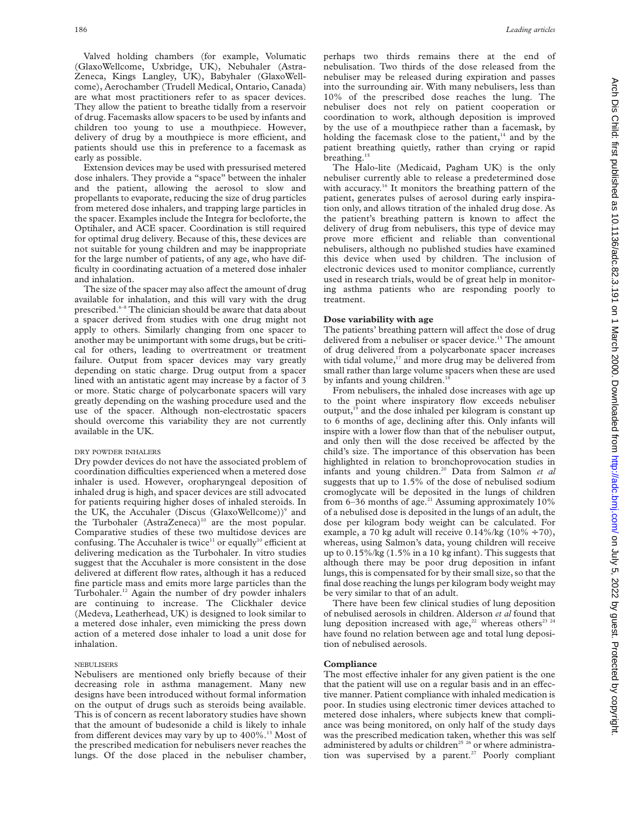Valved holding chambers (for example, Volumatic (GlaxoWellcome, Uxbridge, UK), Nebuhaler (Astra-Zeneca, Kings Langley, UK), Babyhaler (GlaxoWellcome), Aerochamber (Trudell Medical, Ontario, Canada) are what most practitioners refer to as spacer devices. They allow the patient to breathe tidally from a reservoir of drug. Facemasks allow spacers to be used by infants and children too young to use a mouthpiece. However, delivery of drug by a mouthpiece is more efficient, and patients should use this in preference to a facemask as early as possible.

Extension devices may be used with pressurised metered dose inhalers. They provide a "space" between the inhaler and the patient, allowing the aerosol to slow and propellants to evaporate, reducing the size of drug particles from metered dose inhalers, and trapping large particles in the spacer. Examples include the Integra for becloforte, the Optihaler, and ACE spacer. Coordination is still required for optimal drug delivery. Because of this, these devices are not suitable for young children and may be inappropriate for the large number of patients, of any age, who have difficulty in coordinating actuation of a metered dose inhaler and inhalation.

The size of the spacer may also affect the amount of drug available for inhalation, and this will vary with the drug prescribed.<sup>6-8</sup> The clinician should be aware that data about a spacer derived from studies with one drug might not apply to others. Similarly changing from one spacer to another may be unimportant with some drugs, but be critical for others, leading to overtreatment or treatment failure. Output from spacer devices may vary greatly depending on static charge. Drug output from a spacer lined with an antistatic agent may increase by a factor of 3 or more. Static charge of polycarbonate spacers will vary greatly depending on the washing procedure used and the use of the spacer. Although non-electrostatic spacers should overcome this variability they are not currently available in the UK.

#### DRY POWDER INHALERS

Dry powder devices do not have the associated problem of coordination difficulties experienced when a metered dose inhaler is used. However, oropharyngeal deposition of inhaled drug is high, and spacer devices are still advocated for patients requiring higher doses of inhaled steroids. In the UK, the Accuhaler (Discus (GlaxoWellcome)) $9$  and the Turbohaler (AstraZeneca)<sup>10</sup> are the most popular. Comparative studies of these two multidose devices are confusing. The Accuhaler is twice<sup>11</sup> or equally<sup>10</sup> efficient at delivering medication as the Turbohaler. In vitro studies suggest that the Accuhaler is more consistent in the dose delivered at different flow rates, although it has a reduced fine particle mass and emits more large particles than the Turbohaler.<sup>12</sup> Again the number of dry powder inhalers are continuing to increase. The Clickhaler device (Medeva, Leatherhead, UK) is designed to look similar to a metered dose inhaler, even mimicking the press down action of a metered dose inhaler to load a unit dose for inhalation.

#### NEBULISERS

Nebulisers are mentioned only briefly because of their decreasing role in asthma management. Many new designs have been introduced without formal information on the output of drugs such as steroids being available. This is of concern as recent laboratory studies have shown that the amount of budesonide a child is likely to inhale from different devices may vary by up to  $400\%$ .<sup>13</sup> Most of the prescribed medication for nebulisers never reaches the lungs. Of the dose placed in the nebuliser chamber,

perhaps two thirds remains there at the end of nebulisation. Two thirds of the dose released from the nebuliser may be released during expiration and passes into the surrounding air. With many nebulisers, less than 10% of the prescribed dose reaches the lung. The nebuliser does not rely on patient cooperation or coordination to work, although deposition is improved by the use of a mouthpiece rather than a facemask, by holding the facemask close to the patient, $14$  and by the patient breathing quietly, rather than crying or rapid breathing.<sup>15</sup>

The Halo-lite (Medicaid, Pagham UK) is the only nebuliser currently able to release a predetermined dose with accuracy.<sup>16</sup> It monitors the breathing pattern of the patient, generates pulses of aerosol during early inspiration only, and allows titration of the inhaled drug dose. As the patient's breathing pattern is known to affect the delivery of drug from nebulisers, this type of device may prove more efficient and reliable than conventional nebulisers, although no published studies have examined this device when used by children. The inclusion of electronic devices used to monitor compliance, currently used in research trials, would be of great help in monitoring asthma patients who are responding poorly to treatment.

### **Dose variability with age**

The patients' breathing pattern will affect the dose of drug delivered from a nebuliser or spacer device.<sup>15</sup> The amount of drug delivered from a polycarbonate spacer increases with tidal volume, $17$  and more drug may be delivered from small rather than large volume spacers when these are used by infants and young children.<sup>18</sup>

From nebulisers, the inhaled dose increases with age up to the point where inspiratory flow exceeds nebuliser output,<sup>19</sup> and the dose inhaled per kilogram is constant up to 6 months of age, declining after this. Only infants will inspire with a lower flow than that of the nebuliser output, and only then will the dose received be affected by the child's size. The importance of this observation has been highlighted in relation to bronchoprovocation studies in infants and young children.20 Data from Salmon *et al* suggests that up to 1.5% of the dose of nebulised sodium cromoglycate will be deposited in the lungs of children from 6–36 months of age.<sup>21</sup> Assuming approximately  $10\%$ of a nebulised dose is deposited in the lungs of an adult, the dose per kilogram body weight can be calculated. For example, a 70 kg adult will receive  $0.14\%/kg$  ( $10\% \div 70$ ), whereas, using Salmon's data, young children will receive up to 0.15%/kg (1.5% in a 10 kg infant). This suggests that although there may be poor drug deposition in infant lungs, this is compensated for by their small size, so that the final dose reaching the lungs per kilogram body weight may be very similar to that of an adult.

There have been few clinical studies of lung deposition of nebulised aerosols in children. Alderson *et al* found that lung deposition increased with age,<sup>22</sup> whereas others<sup>23 24</sup> have found no relation between age and total lung deposition of nebulised aerosols.

### **Compliance**

The most effective inhaler for any given patient is the one that the patient will use on a regular basis and in an effective manner. Patient compliance with inhaled medication is poor. In studies using electronic timer devices attached to metered dose inhalers, where subjects knew that compliance was being monitored, on only half of the study days was the prescribed medication taken, whether this was self administered by adults or children<sup>25</sup> <sup>26</sup> or where administration was supervised by a parent.<sup>27</sup> Poorly compliant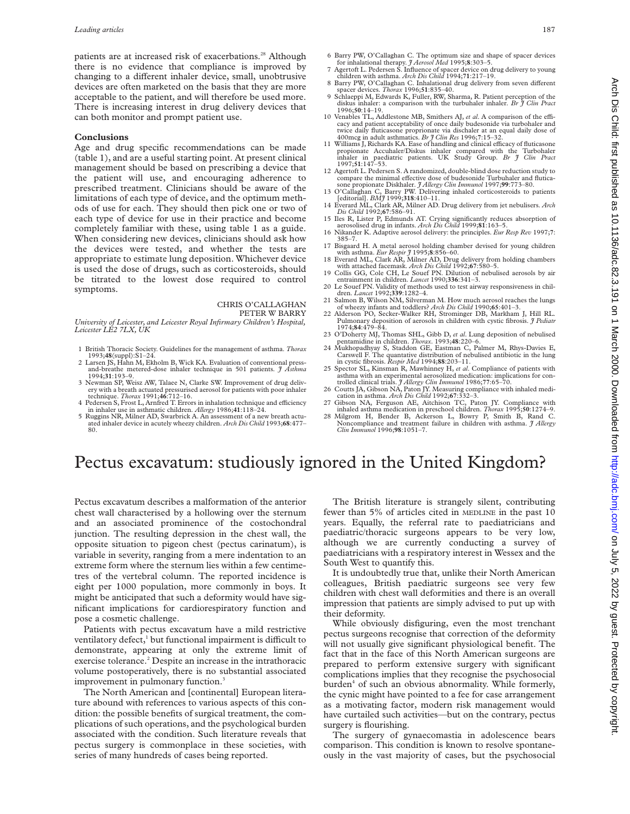patients are at increased risk of exacerbations.<sup>28</sup> Although there is no evidence that compliance is improved by changing to a different inhaler device, small, unobtrusive devices are often marketed on the basis that they are more acceptable to the patient, and will therefore be used more. There is increasing interest in drug delivery devices that can both monitor and prompt patient use.

#### **Conclusions**

Age and drug specific recommendations can be made (table 1), and are a useful starting point. At present clinical management should be based on prescribing a device that the patient will use, and encouraging adherence to prescribed treatment. Clinicians should be aware of the limitations of each type of device, and the optimum methods of use for each. They should then pick one or two of each type of device for use in their practice and become completely familiar with these, using table 1 as a guide. When considering new devices, clinicians should ask how the devices were tested, and whether the tests are appropriate to estimate lung deposition. Whichever device is used the dose of drugs, such as corticosteroids, should be titrated to the lowest dose required to control symptoms.

#### CHRIS O'CALLAGHAN PETER W BARRY

*University of Leicester, and Leicester Royal Infirmary Children's Hospital, Leicester LE2 7LX, UK*

- 1 British Thoracic Society. Guidelines for the management of asthma. *Thorax*
- 1993;**48**(suppl):S1–24. 2 Larsen JS, Hahn M, Ekholm B, Wick KA. Evaluation of conventional pressand-breathe metered-dose inhaler technique in 501 patients. *J Asthma* 1994;**31**:193–9.
- 3 Newman SP, Weisz AW, Talaee N, Clarke SW. Improvement of drug delivery with a breath actuated pressurised aerosol for patients with poor inhaler technique. *Thorax* 1991;**46**:712–16.
- 4 Pedersen S, Frost L, Arnfred T. Errors in inhalation technique and efficiency<br>in inhaler use in asthmatic children. Allergy 1986;41:118–24.<br>5 Ruggins NR, Milner AD, Swarbrick A. An assessment of a new breath actu-
- ated inhaler device in acutely wheezy children. *Arch Dis Child* 1993;**68**:477– 80.
- 6 Barry PW, O'Callaghan C. The optimum size and shape of spacer devices for inhalational therapy. *J Aerosol Med* 1995;**8**:303–5.
- 7 Agertoft L. Pedersen S. Influence of spacer device on drug delivery to young children with asthma. *Arch Dis Child* 1994;**71**:217–19.
- 8 Barry PW, O'Callaghan C. Inhalational drug delivery from seven different spacer devices. *Thorax* 1996;**51**:835–40. 9 Schlaeppi M, Edwards K, Fuller, RW, Sharma, R. Patient perception of the diskus inhaler: a comparison with the turbuhaler inhaler. *Br J Clin Pract*
- 1996;**50**:14–19. 10 Venables TL, Addlestone MB, Smithers  $AI$ , *et al.* A comparison of the efficancy and patient acceptability of once daily budesonide via turbohaler and twice daily distance and proprionate via dischaler at an equal dail
- 400mcg in adult asthmatics. *Br J Clin Res* 1996;7:15–32.<br>11 Williams J, Richards KA. Ease of handling and clinical efficacy of fluticasone propionate Accuhaler/Diskus inhaler compared with the Turbohaler inhaler in paediatric patients. UK Study Group. *Br J Clin Pract* 1997;**51**:147–53.
- 12 Agertoft L. Pedersen S. A randomized, double-blind dose reduction study to
- compare the minimal effective dose of budesonide Turbuhaler and flutica-<br>sone propionate Diskhaler.  $\tilde{\jmath}$  Allergy Clin Immunol 1997;99:773-80.<br>13 O'Callaghan C, Barry PW. Delivering inhaled corticosteroids to patients
- 14 Everard ML, Clark AR, Milner AD. Drug delivery from jet nebulisers. *Arch Dis Child* 1992;**67**:586–91.
- 15 Iles R, Lister P, Edmunds AT. Crying significantly reduces absorption of aerosolised drug in infants. *Arch Dis Child* 1999;**81**:163–5.
- 16 Nikander K. Adaptive aerosol delivery: the principles. *Eur Resp Rev* 1997;**7**: 385–7.
- 17 Bisgaard H. A metal aerosol holding chamber devised for young children with asthma. *Eur Respir* J 1995;8:856-60.<br>18 Everard ML, Clark AR, Milner AD, Drug delivery from holding chambers with attached facemask. Arch Dis
- 
- 19 Collis GG, Cole CH, Le Souef PN. Dilution of nebulised aerosols by air entrainment in children. *Lancet* 1990;**336**:341–3.
- 20 Le Souef PN. Validity of methods used to test airway responsiveness in chil-dren. *Lancet* 1992;**339**:1282–4.
- 21 Salmon B, Wilson NM, Silverman M. How much aerosol reaches the lungs of wheezy infants and toddlers? *Arch Dis Child* 1990;**65**:401–3.
- 22 Alderson PO, Secker-Walker RH, Strominger DB, Markham J, Hill RL. Pulmonary deposition of aerosols in children with cystic fibrosis. *J Pediatr* 1974;**84**:479–84.
- 23 O'Doherty MJ, Thomas SHL, Gibb D, *et al*. Lung deposition of nebulised pentamidine in children. *Thorax*. 1993;**48**:220–6.
- 24 Mukhopadhyay S, Staddon GE, Eastman C, Palmer M, Rhys-Davies E, Carswell F. The quantative distribution of nebulised antibiotic in the lung in cystic fibrosis. *Respir Med* 1994;**88**:203–11.
- 25 Spector SL, Kinsman R, Mawhinney H, *et al*. Compliance of patients with asthma with an experimental aerosolized medication: implications for controlled clinical trials.  $\hat{\jmath}$  Allergy Clin Immunol 1986;77:65-70.<br>26 Coutts JA, Gibson NA, Paton JY. Measuring compliance with inhaled medication
- 
- 27 Gibson NA, Ferguson AE, Aitchison TC, Paton JY. Compliance with inhaled asthma medication in preschool children. *Thorax* 1995;**50**:1274–9.
- 28 Milgrom H, Bender B, Ackerson L, Bowry P, Smith B, Rand C. Noncompliance and treatment failure in children with asthma. *J Allergy Clin Immunol* 1996;**98**:1051–7.

# Pectus excavatum: studiously ignored in the United Kingdom?

Pectus excavatum describes a malformation of the anterior chest wall characterised by a hollowing over the sternum and an associated prominence of the costochondral junction. The resulting depression in the chest wall, the opposite situation to pigeon chest (pectus carinatum), is variable in severity, ranging from a mere indentation to an extreme form where the sternum lies within a few centimetres of the vertebral column. The reported incidence is eight per 1000 population, more commonly in boys. It might be anticipated that such a deformity would have significant implications for cardiorespiratory function and pose a cosmetic challenge.

Patients with pectus excavatum have a mild restrictive ventilatory defect,<sup>1</sup> but functional impairment is difficult to demonstrate, appearing at only the extreme limit of exercise tolerance.<sup>2</sup> Despite an increase in the intrathoracic volume postoperatively, there is no substantial associated improvement in pulmonary function.<sup>3</sup>

The North American and [continental] European literature abound with references to various aspects of this condition: the possible benefits of surgical treatment, the complications of such operations, and the psychological burden associated with the condition. Such literature reveals that pectus surgery is commonplace in these societies, with series of many hundreds of cases being reported.

The British literature is strangely silent, contributing fewer than 5% of articles cited in MEDLINE in the past 10 years. Equally, the referral rate to paediatricians and paediatric/thoracic surgeons appears to be very low, although we are currently conducting a survey of paediatricians with a respiratory interest in Wessex and the South West to quantify this.

It is undoubtedly true that, unlike their North American colleagues, British paediatric surgeons see very few children with chest wall deformities and there is an overall impression that patients are simply advised to put up with their deformity.

While obviously disfiguring, even the most trenchant pectus surgeons recognise that correction of the deformity will not usually give significant physiological benefit. The fact that in the face of this North American surgeons are prepared to perform extensive surgery with significant complications implies that they recognise the psychosocial burden<sup>4</sup> of such an obvious abnormality. While formerly, the cynic might have pointed to a fee for case arrangement as a motivating factor, modern risk management would have curtailed such activities—but on the contrary, pectus surgery is flourishing.

The surgery of gynaecomastia in adolescence bears comparison. This condition is known to resolve spontaneously in the vast majority of cases, but the psychosocial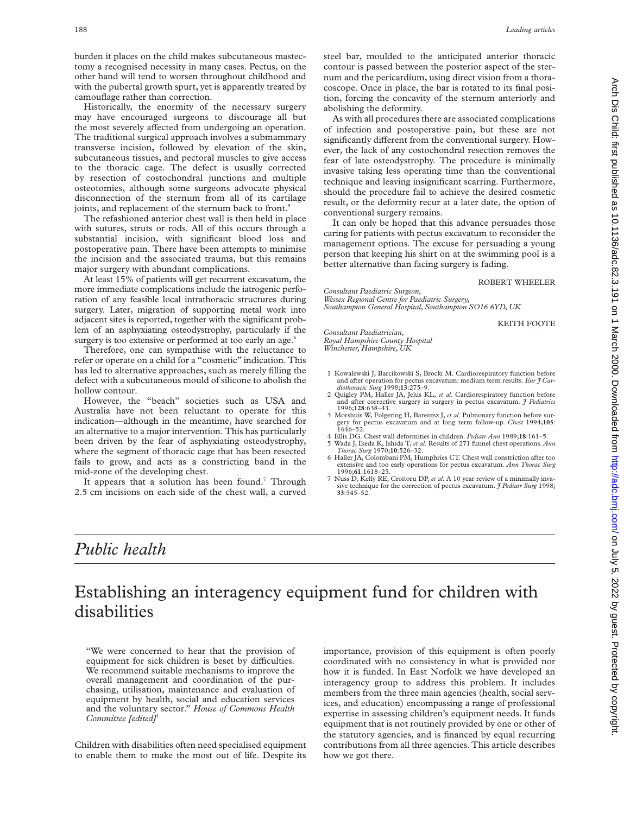burden it places on the child makes subcutaneous mastectomy a recognised necessity in many cases. Pectus, on the other hand will tend to worsen throughout childhood and with the pubertal growth spurt, yet is apparently treated by camouflage rather than correction.

Historically, the enormity of the necessary surgery may have encouraged surgeons to discourage all but the most severely affected from undergoing an operation. The traditional surgical approach involves a submammary transverse incision, followed by elevation of the skin, subcutaneous tissues, and pectoral muscles to give access to the thoracic cage. The defect is usually corrected by resection of costochondral junctions and multiple osteotomies, although some surgeons advocate physical disconnection of the sternum from all of its cartilage joints, and replacement of the sternum back to front.<sup>5</sup>

The refashioned anterior chest wall is then held in place with sutures, struts or rods. All of this occurs through a substantial incision, with significant blood loss and postoperative pain. There have been attempts to minimise the incision and the associated trauma, but this remains major surgery with abundant complications.

At least 15% of patients will get recurrent excavatum, the more immediate complications include the iatrogenic perforation of any feasible local intrathoracic structures during surgery. Later, migration of supporting metal work into adjacent sites is reported, together with the significant problem of an asphyxiating osteodystrophy, particularly if the surgery is too extensive or performed at too early an age.<sup>6</sup>

Therefore, one can sympathise with the reluctance to refer or operate on a child for a "cosmetic" indication. This has led to alternative approaches, such as merely filling the defect with a subcutaneous mould of silicone to abolish the hollow contour.

However, the "beach" societies such as USA and Australia have not been reluctant to operate for this indication—although in the meantime, have searched for an alternative to a major intervention. This has particularly been driven by the fear of asphyxiating osteodystrophy, where the segment of thoracic cage that has been resected fails to grow, and acts as a constricting band in the mid-zone of the developing chest.

It appears that a solution has been found.<sup>7</sup> Through 2.5 cm incisions on each side of the chest wall, a curved steel bar, moulded to the anticipated anterior thoracic contour is passed between the posterior aspect of the sternum and the pericardium, using direct vision from a thoracoscope. Once in place, the bar is rotated to its final position, forcing the concavity of the sternum anteriorly and abolishing the deformity.

As with all procedures there are associated complications of infection and postoperative pain, but these are not significantly different from the conventional surgery. However, the lack of any costochondral resection removes the fear of late osteodystrophy. The procedure is minimally invasive taking less operating time than the conventional technique and leaving insignificant scarring. Furthermore, should the procedure fail to achieve the desired cosmetic result, or the deformity recur at a later date, the option of conventional surgery remains.

It can only be hoped that this advance persuades those caring for patients with pectus excavatum to reconsider the management options. The excuse for persuading a young person that keeping his shirt on at the swimming pool is a better alternative than facing surgery is fading.

#### ROBERT WHEELER

*Consultant Paediatric Surgeon, Wessex Regional Centre for Paediatric Surgery, Southampton General Hospital, Southampton SO16 6YD, UK*

KEITH FOOTE

*Consultant Paediatrician, Royal Hampshire County Hospital Winchester, Hampshire, UK*

- 1 Kowalewski J, Barcikowski S, Brocki M. Cardiorespiratory function before and after operation for pectus excavatum: medium term results. *Eur J Car-diothoracic Surg* 1998;**13**:275–9.
- 2 Quigley PM, Haller JA, Jelus KL, *et al*. Cardiorespiratory function before and after corrective surgery in surgery in pectus excavatum. *J Pediatrics* 1996;**128**:638–43.
- 3 Morshuis W, Folgering H, Barentsz J, *et al*. Pulmonary function before surgery for pectus excavatum and at long term follow-up. *Chest* 1994;**105**: 1646–52.
- 4 Ellis DG. Chest wall deformities in children. *Pediatr Ann* 1989;**18**:161–5. 5 Wada J, Ikeda K, Ishida T, *et al*. Results of 271 funnel chest operations. *Ann Thorac Surg* 1970;**10**:526–32.
- 6 Haller JA, Colombani PM, Humphries CT. Chest wall constriction after too extensive and too early operations for pectus excavatum. *Ann Thorac Surg*
- 1996;**61**:1618–25. 7 Nuss D, Kelly RE, Croitoru DP, *et al*. A 10 year review of a minimally inva-
- sive technique for the correction of pectus excavatum. *J Pediatr Surg* 1998; **33**:545–52.

# *Public health*

# Establishing an interagency equipment fund for children with disabilities

"We were concerned to hear that the provision of equipment for sick children is beset by difficulties. We recommend suitable mechanisms to improve the overall management and coordination of the purchasing, utilisation, maintenance and evaluation of equipment by health, social and education services and the voluntary sector." *House of Commons Health Committee [edited]*<sup>1</sup>

Children with disabilities often need specialised equipment to enable them to make the most out of life. Despite its importance, provision of this equipment is often poorly coordinated with no consistency in what is provided nor how it is funded. In East Norfolk we have developed an interagency group to address this problem. It includes members from the three main agencies (health, social services, and education) encompassing a range of professional expertise in assessing children's equipment needs. It funds equipment that is not routinely provided by one or other of the statutory agencies, and is financed by equal recurring contributions from all three agencies. This article describes how we got there.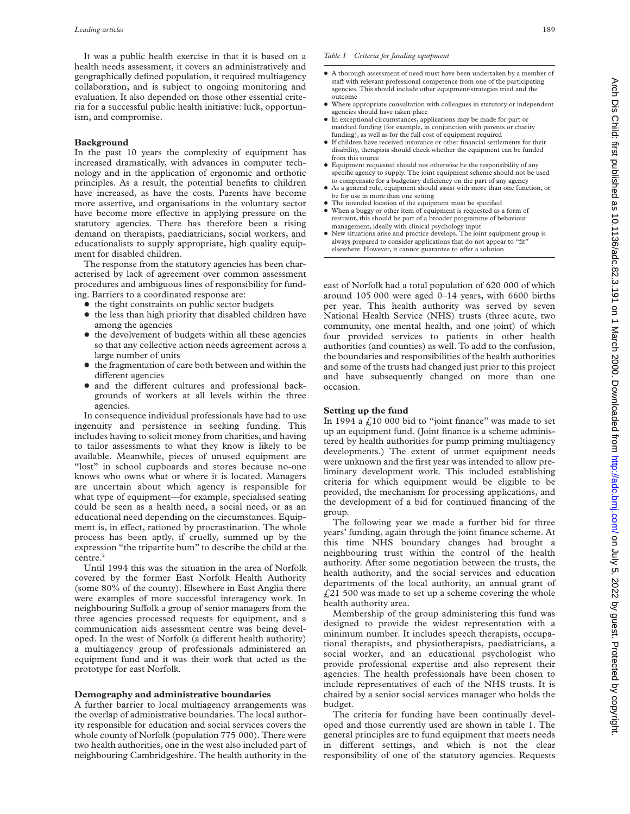It was a public health exercise in that it is based on a health needs assessment, it covers an administratively and geographically defined population, it required multiagency collaboration, and is subject to ongoing monitoring and evaluation. It also depended on those other essential criteria for a successful public health initiative: luck, opportunism, and compromise.

### **Background**

In the past 10 years the complexity of equipment has increased dramatically, with advances in computer technology and in the application of ergonomic and orthotic principles. As a result, the potential benefits to children have increased, as have the costs. Parents have become more assertive, and organisations in the voluntary sector have become more effective in applying pressure on the statutory agencies. There has therefore been a rising demand on therapists, paediatricians, social workers, and educationalists to supply appropriate, high quality equipment for disabled children.

The response from the statutory agencies has been characterised by lack of agreement over common assessment procedures and ambiguous lines of responsibility for funding. Barriers to a coordinated response are:

- $\bullet$  the tight constraints on public sector budgets
- the less than high priority that disabled children have among the agencies
- the devolvement of budgets within all these agencies so that any collective action needs agreement across a large number of units
- the fragmentation of care both between and within the different agencies
- $\bullet$  and the different cultures and professional backgrounds of workers at all levels within the three agencies.

In consequence individual professionals have had to use ingenuity and persistence in seeking funding. This includes having to solicit money from charities, and having to tailor assessments to what they know is likely to be available. Meanwhile, pieces of unused equipment are "lost" in school cupboards and stores because no-one knows who owns what or where it is located. Managers are uncertain about which agency is responsible for what type of equipment—for example, specialised seating could be seen as a health need, a social need, or as an educational need depending on the circumstances. Equipment is, in effect, rationed by procrastination. The whole process has been aptly, if cruelly, summed up by the expression "the tripartite bum" to describe the child at the centre.<sup>2</sup>

Until 1994 this was the situation in the area of Norfolk covered by the former East Norfolk Health Authority (some 80% of the county). Elsewhere in East Anglia there were examples of more successful interagency work. In neighbouring Suffolk a group of senior managers from the three agencies processed requests for equipment, and a communication aids assessment centre was being developed. In the west of Norfolk (a different health authority) a multiagency group of professionals administered an equipment fund and it was their work that acted as the prototype for east Norfolk.

### **Demography and administrative boundaries**

A further barrier to local multiagency arrangements was the overlap of administrative boundaries. The local authority responsible for education and social services covers the whole county of Norfolk (population 775 000). There were two health authorities, one in the west also included part of neighbouring Cambridgeshire. The health authority in the

#### *Table 1 Criteria for funding equipment*

- + A thorough assessment of need must have been undertaken by a member of staff with relevant professional competence from one of the participating agencies. This should include other equipment/strategies tried and the outcome
- + Where appropriate consultation with colleagues in statutory or independent agencies should have taken place
- $\bullet$  In exceptional circumstances, applications may be made for part or matched funding (for example, in conjunction with parents or charity funding), as well as for the full cost of equipment required
- + If children have received insurance or other financial settlements for their disability, therapists should check whether the equipment can be funded from this source
- + Equipment requested should not otherwise be the responsibility of any specific agency to supply. The joint equipment scheme should not be used to compensate for a budgetary deficiency on the part of any agency
- + As a general rule, equipment should assist with more than one function, or be for use in more than one setting
- The intended location of the equipment must be specified
- + When a buggy or other item of equipment is requested as a form of restraint, this should be part of a broader programme of behaviour management, ideally with clinical psychology input
- + New situations arise and practice develops. The joint equipment group is always prepared to consider applications that do not appear to "fit" elsewhere. However, it cannot guarantee to offer a solution

east of Norfolk had a total population of 620 000 of which around 105 000 were aged 0–14 years, with 6600 births per year. This health authority was served by seven National Health Service (NHS) trusts (three acute, two community, one mental health, and one joint) of which four provided services to patients in other health authorities (and counties) as well. To add to the confusion, the boundaries and responsibilities of the health authorities and some of the trusts had changed just prior to this project and have subsequently changed on more than one occasion.

### **Setting up the fund**

In 1994 a  $\frac{1}{4}$ , 10 000 bid to "joint finance" was made to set up an equipment fund. (Joint finance is a scheme administered by health authorities for pump priming multiagency developments.) The extent of unmet equipment needs were unknown and the first year was intended to allow preliminary development work. This included establishing criteria for which equipment would be eligible to be provided, the mechanism for processing applications, and the development of a bid for continued financing of the group.

The following year we made a further bid for three years' funding, again through the joint finance scheme. At this time NHS boundary changes had brought a neighbouring trust within the control of the health authority. After some negotiation between the trusts, the health authority, and the social services and education departments of the local authority, an annual grant of  $\text{\emph{£}}21$  500 was made to set up a scheme covering the whole health authority area.

Membership of the group administering this fund was designed to provide the widest representation with a minimum number. It includes speech therapists, occupational therapists, and physiotherapists, paediatricians, a social worker, and an educational psychologist who provide professional expertise and also represent their agencies. The health professionals have been chosen to include representatives of each of the NHS trusts. It is chaired by a senior social services manager who holds the budget.

The criteria for funding have been continually developed and those currently used are shown in table 1. The general principles are to fund equipment that meets needs in different settings, and which is not the clear responsibility of one of the statutory agencies. Requests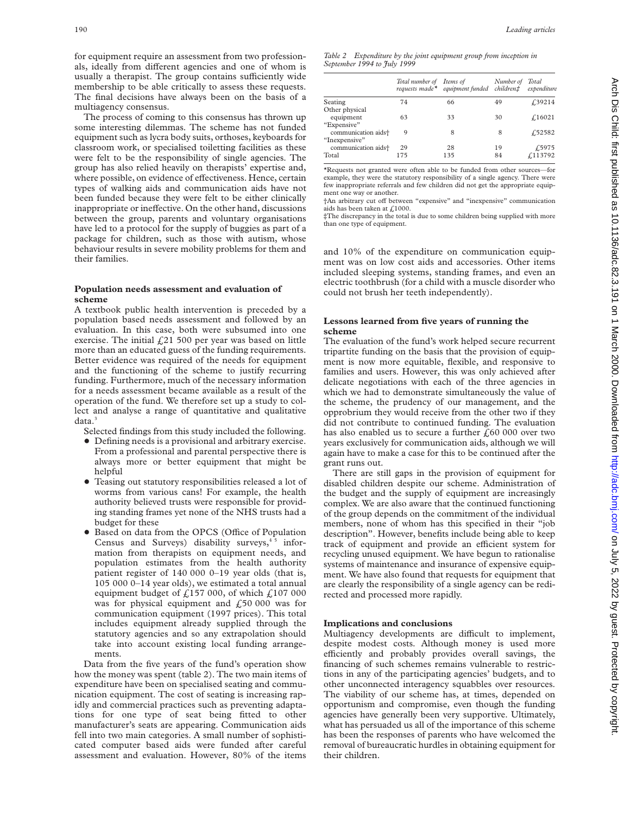for equipment require an assessment from two professionals, ideally from different agencies and one of whom is usually a therapist. The group contains sufficiently wide membership to be able critically to assess these requests. The final decisions have always been on the basis of a multiagency consensus.

The process of coming to this consensus has thrown up some interesting dilemmas. The scheme has not funded equipment such as lycra body suits, orthoses, keyboards for classroom work, or specialised toiletting facilities as these were felt to be the responsibility of single agencies. The group has also relied heavily on therapists' expertise and, where possible, on evidence of effectiveness. Hence, certain types of walking aids and communication aids have not been funded because they were felt to be either clinically inappropriate or ineffective. On the other hand, discussions between the group, parents and voluntary organisations have led to a protocol for the supply of buggies as part of a package for children, such as those with autism, whose behaviour results in severe mobility problems for them and their families.

### **Population needs assessment and evaluation of scheme**

A textbook public health intervention is preceded by a population based needs assessment and followed by an evaluation. In this case, both were subsumed into one exercise. The initial  $\text{\textsterling}21$  500 per year was based on little more than an educated guess of the funding requirements. Better evidence was required of the needs for equipment and the functioning of the scheme to justify recurring funding. Furthermore, much of the necessary information for a needs assessment became available as a result of the operation of the fund. We therefore set up a study to collect and analyse a range of quantitative and qualitative data.<sup>3</sup>

Selected findings from this study included the following.

- + Defining needs is a provisional and arbitrary exercise. From a professional and parental perspective there is always more or better equipment that might be helpful
- Teasing out statutory responsibilities released a lot of worms from various cans! For example, the health authority believed trusts were responsible for providing standing frames yet none of the NHS trusts had a budget for these
- $\bullet$  Based on data from the OPCS (Office of Population Census and Surveys) disability surveys, $45$  information from therapists on equipment needs, and population estimates from the health authority patient register of 140 000 0–19 year olds (that is, 105 000 0–14 year olds), we estimated a total annual equipment budget of  $\text{\textsterling}157\,000$ , of which  $\text{\textsterling}107\,000$ was for physical equipment and  $\text{\emph{L}}50\text{ }000$  was for communication equipment (1997 prices). This total includes equipment already supplied through the statutory agencies and so any extrapolation should take into account existing local funding arrangements.

Data from the five years of the fund's operation show how the money was spent (table 2). The two main items of expenditure have been on specialised seating and communication equipment. The cost of seating is increasing rapidly and commercial practices such as preventing adaptations for one type of seat being fitted to other manufacturer's seats are appearing. Communication aids fell into two main categories. A small number of sophisticated computer based aids were funded after careful assessment and evaluation. However, 80% of the items

| Table 2 Expenditure by the joint equipment group from inception in |  |  |  |
|--------------------------------------------------------------------|--|--|--|
| September 1994 to July 1999                                        |  |  |  |

|                                                                 | Total number of Items of | requests made <sup>*</sup> equipment funded children# expenditure | Number of | Total                  |
|-----------------------------------------------------------------|--------------------------|-------------------------------------------------------------------|-----------|------------------------|
| Seating                                                         | 74                       | 66                                                                | 49        | £39214                 |
| Other physical<br>equipment                                     | 63                       | 33                                                                | 30        | £16021                 |
| "Expensive"<br>communication aids <sup>+</sup><br>"Inexpensive" | 9                        | 8                                                                 | 8         | £52582                 |
| communication aids <sup>+</sup><br>Total                        | 29<br>175                | 28<br>135                                                         | 19<br>84  | $f_{.}5975$<br>£113792 |

\*Requests not granted were often able to be funded from other sources—for example, they were the statutory responsibility of a single agency. There were few inappropriate referrals and few children did not get the appropriate equipment one way or another.

†An arbitrary cut oV between "expensive" and "inexpensive" communication aids has been taken at  $\text{\pounds}1000$ .

‡The discrepancy in the total is due to some children being supplied with more than one type of equipment.

and 10% of the expenditure on communication equipment was on low cost aids and accessories. Other items included sleeping systems, standing frames, and even an electric toothbrush (for a child with a muscle disorder who could not brush her teeth independently).

### **Lessons learned from five years of running the scheme**

The evaluation of the fund's work helped secure recurrent tripartite funding on the basis that the provision of equipment is now more equitable, flexible, and responsive to families and users. However, this was only achieved after delicate negotiations with each of the three agencies in which we had to demonstrate simultaneously the value of the scheme, the prudency of our management, and the opprobrium they would receive from the other two if they did not contribute to continued funding. The evaluation has also enabled us to secure a further  $\text{\emph{£}}60\text{ }000$  over two years exclusively for communication aids, although we will again have to make a case for this to be continued after the grant runs out.

There are still gaps in the provision of equipment for disabled children despite our scheme. Administration of the budget and the supply of equipment are increasingly complex. We are also aware that the continued functioning of the group depends on the commitment of the individual members, none of whom has this specified in their "job description". However, benefits include being able to keep track of equipment and provide an efficient system for recycling unused equipment. We have begun to rationalise systems of maintenance and insurance of expensive equipment. We have also found that requests for equipment that are clearly the responsibility of a single agency can be redirected and processed more rapidly.

### **Implications and conclusions**

Multiagency developments are difficult to implement, despite modest costs. Although money is used more efficiently and probably provides overall savings, the financing of such schemes remains vulnerable to restrictions in any of the participating agencies' budgets, and to other unconnected interagency squabbles over resources. The viability of our scheme has, at times, depended on opportunism and compromise, even though the funding agencies have generally been very supportive. Ultimately, what has persuaded us all of the importance of this scheme has been the responses of parents who have welcomed the removal of bureaucratic hurdles in obtaining equipment for their children.